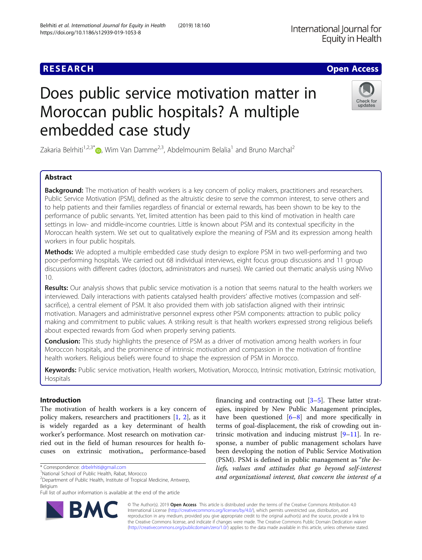# **RESEARCH CHE Open Access**

# Does public service motivation matter in Moroccan public hospitals? A multiple embedded case study

Zakaria Belrhiti<sup>1,2,3[\\*](http://orcid.org/0000-0002-0115-682X)</sup> $\odot$ , Wim Van Damme<sup>2,3</sup>, Abdelmounim Belalia<sup>1</sup> and Bruno Marchal<sup>2</sup>

# Abstract

Background: The motivation of health workers is a key concern of policy makers, practitioners and researchers. Public Service Motivation (PSM), defined as the altruistic desire to serve the common interest, to serve others and to help patients and their families regardless of financial or external rewards, has been shown to be key to the performance of public servants. Yet, limited attention has been paid to this kind of motivation in health care settings in low- and middle-income countries. Little is known about PSM and its contextual specificity in the Moroccan health system. We set out to qualitatively explore the meaning of PSM and its expression among health workers in four public hospitals.

**Methods:** We adopted a multiple embedded case study design to explore PSM in two well-performing and two poor-performing hospitals. We carried out 68 individual interviews, eight focus group discussions and 11 group discussions with different cadres (doctors, administrators and nurses). We carried out thematic analysis using NVivo 10.

Results: Our analysis shows that public service motivation is a notion that seems natural to the health workers we interviewed. Daily interactions with patients catalysed health providers' affective motives (compassion and selfsacrifice), a central element of PSM. It also provided them with job satisfaction aligned with their intrinsic motivation. Managers and administrative personnel express other PSM components: attraction to public policy making and commitment to public values. A striking result is that health workers expressed strong religious beliefs about expected rewards from God when properly serving patients.

**Conclusion:** This study highlights the presence of PSM as a driver of motivation among health workers in four Moroccon hospitals, and the prominence of intrinsic motivation and compassion in the motivation of frontline health workers. Religious beliefs were found to shape the expression of PSM in Morocco.

Keywords: Public service motivation, Health workers, Motivation, Morocco, Intrinsic motivation, Extrinsic motivation, Hospitals

# Introduction

The motivation of health workers is a key concern of policy makers, researchers and practitioners [[1,](#page-10-0) [2\]](#page-10-0), as it is widely regarded as a key determinant of health worker's performance. Most research on motivation carried out in the field of human resources for health focuses on extrinsic motivation,, performance-based

\* Correspondence: [drbelrhiti@gmail.com](mailto:drbelrhiti@gmail.com) <sup>1</sup>

egies, inspired by New Public Management principles, have been questioned [[6](#page-10-0)–[8\]](#page-10-0) and more specifically in terms of goal-displacement, the risk of crowding out intrinsic motivation and inducing mistrust  $[9-11]$  $[9-11]$  $[9-11]$  $[9-11]$  $[9-11]$ . In response, a number of public management scholars have been developing the notion of Public Service Motivation (PSM). PSM is defined in public management as "the beliefs, values and attitudes that go beyond self-interest and organizational interest, that concern the interest of a

financing and contracting out [\[3](#page-10-0)–[5](#page-10-0)]. These latter strat-

© The Author(s). 2019 **Open Access** This article is distributed under the terms of the Creative Commons Attribution 4.0 International License [\(http://creativecommons.org/licenses/by/4.0/](http://creativecommons.org/licenses/by/4.0/)), which permits unrestricted use, distribution, and reproduction in any medium, provided you give appropriate credit to the original author(s) and the source, provide a link to the Creative Commons license, and indicate if changes were made. The Creative Commons Public Domain Dedication waiver [\(http://creativecommons.org/publicdomain/zero/1.0/](http://creativecommons.org/publicdomain/zero/1.0/)) applies to the data made available in this article, unless otherwise stated.





updates

<sup>&</sup>lt;sup>1</sup>National School of Public Health, Rabat, Morocco

<sup>&</sup>lt;sup>2</sup>Department of Public Health, Institute of Tropical Medicine, Antwerp, Belgium

Full list of author information is available at the end of the article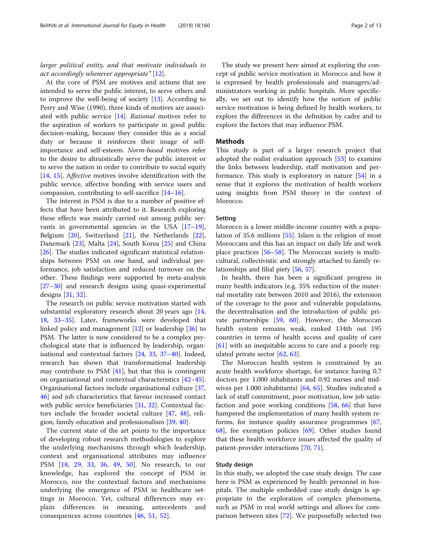# larger political entity, and that motivate individuals to act accordingly whenever appropriate" [[12\]](#page-10-0).

At the core of PSM are motives and actions that are intended to serve the public interest, to serve others and to improve the well-being of society [[13](#page-10-0)]. According to Perry and Wise (1990), three kinds of motives are associated with public service  $[14]$  $[14]$ . Rational motives refer to the aspiration of workers to participate in good public decision-making, because they consider this as a social duty or because it reinforces their image of selfimportance and self-esteem. Norm-based motives refer to the desire to altruistically serve the public interest or to serve the nation in order to contribute to social equity [[14,](#page-10-0) [15](#page-10-0)]. Affective motives involve identification with the public service, affective bonding with service users and compassion, contributing to self-sacrifice [[14](#page-10-0)–[16](#page-10-0)].

The interest in PSM is due to a number of positive effects that have been attributed to it. Research exploring these effects was mainly carried out among public servants in governmental agencies in the USA [[17](#page-10-0)–[19](#page-10-0)], Belgium [\[20](#page-10-0)], Switzerland [[21\]](#page-10-0), the Netherlands [\[22](#page-10-0)], Danemark [[23\]](#page-10-0), Malta [[24](#page-10-0)], South Korea [\[25](#page-10-0)] and China [[26\]](#page-10-0). The studies indicated significant statistical relationships between PSM on one hand, and individual performance, job satisfaction and reduced turnover on the other. These findings were supported by meta-analysis [[27](#page-10-0)–[30](#page-10-0)] and research designs using quasi-experimental designs [[31,](#page-10-0) [32](#page-10-0)].

The research on public service motivation started with substantial exploratory research about 20 years ago [[14](#page-10-0), [18,](#page-10-0) [33](#page-10-0)–[35](#page-10-0)]. Later, frameworks were developed that linked policy and management [[12\]](#page-10-0) or leadership [[36\]](#page-10-0) to PSM. The latter is now considered to be a complex psychological state that is influenced by leadership, organisational and contextual factors [\[24](#page-10-0), [33,](#page-10-0) [37](#page-10-0)–[40](#page-10-0)]. Indeed, research has shown that transformational leadership may contribute to PSM  $[41]$ , but that this is contingent on organisational and contextual characteristics [[42](#page-10-0)–[45](#page-10-0)]. Organisational factors include organisational culture [[37](#page-10-0), [46\]](#page-10-0) and job characteristics that favour increased contact with public service beneficiaries [[31,](#page-10-0) [32\]](#page-10-0). Contextual factors include the broader societal culture [\[47](#page-10-0), [48\]](#page-10-0), religion, family education and professionalism [[39,](#page-10-0) [40\]](#page-10-0).

The current state of the art points to the importance of developing robust research methodologies to explore the underlying mechanisms through which leadership, context and organisational attributes may influence PSM [[18,](#page-10-0) [29](#page-10-0), [33,](#page-10-0) [36](#page-10-0), [49,](#page-10-0) [50\]](#page-10-0). No research, to our knowledge, has explored the concept of PSM in Morocco, nor the contextual factors and mechanisms underlying the emergence of PSM in healthcare settings in Morocco. Yet, cultural differences may explain differences in meaning, antecedents and consequences across countries [\[46](#page-10-0), [51](#page-11-0), [52\]](#page-11-0).

The study we present here aimed at exploring the concept of public service motivation in Morocco and how it is expressed by health professionals and managers/administrators working in public hospitals. More specifically, we set out to identify how the notion of public service motivation is being defined by health workers, to explore the differences in the definition by cadre and to explore the factors that may influence PSM.

# **Methods**

This study is part of a larger research project that adopted the realist evaluation approach [[53\]](#page-11-0) to examine the links between leadership, staff motivation and performance. This study is exploratory in nature [[54\]](#page-11-0) in a sense that it explores the motivation of health workers using insights from PSM theory in the context of Morocco.

#### Setting

Morocco is a lower middle-income country with a population of 35.6 millions [\[55](#page-11-0)]. Islam is the religion of most Moroccans and this has an impact on daily life and work place practices [\[56](#page-11-0)–[58\]](#page-11-0). The Moroccan society is multicultural, collectivistic and strongly attached to family relationships and filial piety [[56,](#page-11-0) [57\]](#page-11-0).

In health, there has been a significant progress in many health indicators (e.g. 35% reduction of the maternal mortality rate between 2010 and 2016), the extension of the coverage to the poor and vulnerable populations, the decentralisation and the introduction of public private partnerships [\[59](#page-11-0), [60](#page-11-0)]. However, the Moroccan health system remains weak, ranked 134th out 195 countries in terms of health access and quality of care [[61\]](#page-11-0) with an inequitable access to care and a poorly regulated private sector [\[62](#page-11-0), [63\]](#page-11-0).

The Moroccan health system is constrained by an acute health workforce shortage, for instance having 0.7 doctors per 1.000 inhabitants and 0.92 nurses and midwives per 1.000 inhabitants) [[64,](#page-11-0) [65](#page-11-0)]. Studies indicated a lack of staff commitment, poor motivation, low job satisfaction and poor working conditions [[58](#page-11-0), [66](#page-11-0)] that have hampered the implementation of many health system reforms, for instance quality assurance programmes [[67](#page-11-0), [68\]](#page-11-0), fee exemption policies [[69](#page-11-0)]. Other studies found that these health workforce issues affected the quality of patient-provider interactions [\[70,](#page-11-0) [71\]](#page-11-0).

#### Study design

In this study, we adopted the case study design. The case here is PSM as experienced by health personnel in hospitals. The multiple embedded case study design is appropriate to the exploration of complex phenomena, such as PSM in real world settings and allows for comparison between sites [[72\]](#page-11-0). We purposefully selected two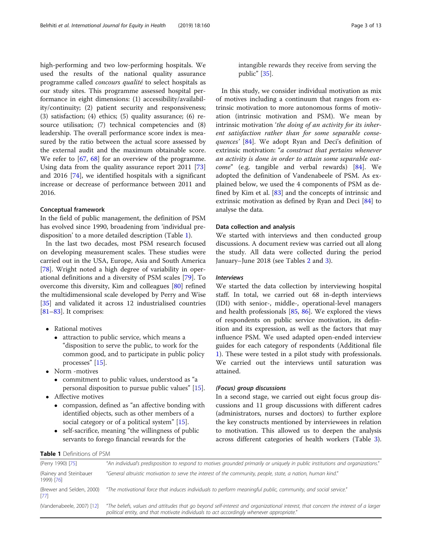high-performing and two low-performing hospitals. We used the results of the national quality assurance programme called concours qualité to select hospitals as our study sites. This programme assessed hospital performance in eight dimensions: (1) accessibility/availability/continuity; (2) patient security and responsiveness; (3) satisfaction; (4) ethics; (5) quality assurance; (6) resource utilisation; (7) technical competencies and (8) leadership. The overall performance score index is measured by the ratio between the actual score assessed by the external audit and the maximum obtainable score. We refer to [\[67](#page-11-0), [68\]](#page-11-0) for an overview of the programme. Using data from the quality assurance report 2011 [[73](#page-11-0)] and 2016 [\[74](#page-11-0)], we identified hospitals with a significant increase or decrease of performance between 2011 and 2016.

#### Conceptual framework

In the field of public management, the definition of PSM has evolved since 1990, broadening from 'individual predisposition' to a more detailed description (Table 1).

In the last two decades, most PSM research focused on developing measurement scales. These studies were carried out in the USA, Europe, Asia and South America [[78\]](#page-11-0). Wright noted a high degree of variability in operational definitions and a diversity of PSM scales [[79](#page-11-0)]. To overcome this diversity, Kim and colleagues [[80](#page-11-0)] refined the multidimensional scale developed by Perry and Wise [[35\]](#page-10-0) and validated it across 12 industrialised countries [[81](#page-11-0)–[83](#page-11-0)]. It comprises:

- Rational motives
	- attraction to public service, which means a "disposition to serve the public, to work for the common good, and to participate in public policy processes" [[15\]](#page-10-0).
- Norm -motives
	- commitment to public values, understood as "a personal disposition to pursue public values" [[15](#page-10-0)].
- Affective motives
	- compassion, defined as "an affective bonding with identified objects, such as other members of a social category or of a political system" [[15](#page-10-0)].
	- self-sacrifice, meaning "the willingness of public servants to forego financial rewards for the

intangible rewards they receive from serving the public" [[35](#page-10-0)].

In this study, we consider individual motivation as mix of motives including a continuum that ranges from extrinsic motivation to more autonomous forms of motivation (intrinsic motivation and PSM). We mean by intrinsic motivation 'the doing of an activity for its inherent satisfaction rather than for some separable conse-quences' [[84\]](#page-11-0). We adopt Ryan and Deci's definition of extrinsic motivation: "a construct that pertains whenever an activity is done in order to attain some separable outcome" (e.g. tangible and verbal rewards) [[84](#page-11-0)]. We adopted the definition of Vandenabeele of PSM. As explained below, we used the 4 components of PSM as defined by Kim et al. [[83\]](#page-11-0) and the concepts of intrinsic and extrinsic motivation as defined by Ryan and Deci [\[84\]](#page-11-0) to analyse the data.

#### Data collection and analysis

We started with interviews and then conducted group discussions. A document review was carried out all along the study. All data were collected during the period January–June 2018 (see Tables [2](#page-3-0) and [3](#page-3-0)).

#### Interviews

We started the data collection by interviewing hospital staff. In total, we carried out 68 in-depth interviews (IDI) with senior-, middle-, operational-level managers and health professionals [[85](#page-11-0), [86\]](#page-11-0). We explored the views of respondents on public service motivation, its definition and its expression, as well as the factors that may influence PSM. We used adapted open-ended interview guides for each category of respondents (Additional file [1\)](#page-9-0). These were tested in a pilot study with professionals. We carried out the interviews until saturation was attained.

#### (Focus) group discussions

In a second stage, we carried out eight focus group discussions and 11 group discussions with different cadres (administrators, nurses and doctors) to further explore the key constructs mentioned by interviewees in relation to motivation. This allowed us to deepen the analysis across different categories of health workers (Table [3](#page-3-0)).

| Table 1 Definitions of PSM           |                                                                                                                                                                                                                                 |
|--------------------------------------|---------------------------------------------------------------------------------------------------------------------------------------------------------------------------------------------------------------------------------|
| (Perry 1990) [75]                    | "An individual's predisposition to respond to motives grounded primarily or uniquely in public institutions and organizations."                                                                                                 |
| (Rainey and Steinbauer<br>1999) [76] | "General altruistic motivation to serve the interest of the community, people, state, a nation, human kind."                                                                                                                    |
| (Brewer and Selden, 2000)<br>[77]    | "The motivational force that induces individuals to perform meaningful public, community, and social service."                                                                                                                  |
| (Vandenabeele, 2007) [12]            | "The beliefs, values and attitudes that go beyond self-interest and organizational interest, that concern the interest of a larger<br>political entity, and that motivate individuals to act accordinaly whenever appropriate." |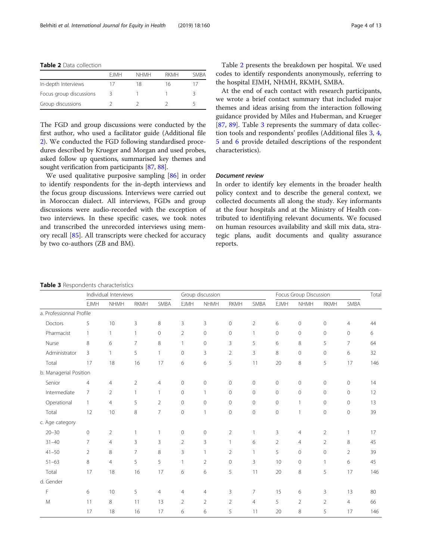<span id="page-3-0"></span>Table 2 Data collection

|                         | <b>FIMH</b> | <b>NHMH</b> | RKMH | SMBA |
|-------------------------|-------------|-------------|------|------|
| In-depth Interviews     |             | 18          | 16   |      |
| Focus group discussions |             |             |      |      |
| Group discussions       |             |             |      |      |

The FGD and group discussions were conducted by the first author, who used a facilitator guide (Additional file [2\)](#page-9-0). We conducted the FGD following standardised procedures described by Krueger and Morgan and used probes, asked follow up questions, summarised key themes and sought verification from participants [\[87,](#page-11-0) [88](#page-11-0)].

We used qualitative purposive sampling [[86](#page-11-0)] in order to identify respondents for the in-depth interviews and the focus group discussions. Interviews were carried out in Moroccan dialect. All interviews, FGDs and group discussions were audio-recorded with the exception of two interviews. In these specific cases, we took notes and transcribed the unrecorded interviews using memory recall [\[85](#page-11-0)]. All transcripts were checked for accuracy by two co-authors (ZB and BM).

Table 2 presents the breakdown per hospital. We used codes to identify respondents anonymously, referring to the hospital EJMH, NHMH, RKMH, SMBA.

At the end of each contact with research participants, we wrote a brief contact summary that included major themes and ideas arising from the interaction following guidance provided by Miles and Huberman, and Krueger [[87,](#page-11-0) [89](#page-11-0)]. Table 3 represents the summary of data collection tools and respondents' profiles (Additional files [3](#page-9-0), [4](#page-9-0), [5](#page-9-0) and [6](#page-9-0) provide detailed descriptions of the respondent characteristics).

#### Document review

In order to identify key elements in the broader health policy context and to describe the general context, we collected documents all along the study. Key informants at the four hospitals and at the Ministry of Health contributed to identifiying relevant documents. We focused on human resources availability and skill mix data, strategic plans, audit documents and quality assurance reports.

#### Table 3 Respondents characteristics

|                          | Individual Interviews |                |                |                | Group discussion    |                |                     |                     | Focus Group Discussion |                |                |                | Total |
|--------------------------|-----------------------|----------------|----------------|----------------|---------------------|----------------|---------------------|---------------------|------------------------|----------------|----------------|----------------|-------|
|                          | <b>EJMH</b>           | <b>NHMH</b>    | <b>RKMH</b>    | SMBA           | <b>EJMH</b>         | <b>NHMH</b>    | <b>RKMH</b>         | SMBA                | <b>EJMH</b>            | <b>NHMH</b>    | <b>RKMH</b>    | SMBA           |       |
| a. Professionnal Profile |                       |                |                |                |                     |                |                     |                     |                        |                |                |                |       |
| Doctors                  | 5                     | 10             | 3              | $\,8\,$        | 3                   | 3              | $\mathbf 0$         | $\overline{2}$      | 6                      | $\mathbf 0$    | $\mathbf 0$    | $\overline{4}$ | 44    |
| Pharmacist               | 1                     | 1              | $\mathbf{1}$   | $\circ$        | $\overline{2}$      | $\circ$        | $\circ$             | $\mathbf{1}$        | $\mathbf{0}$           | $\mathbf{0}$   | $\mathbf{0}$   | $\mathbf 0$    | 6     |
| Nurse                    | 8                     | 6              | 7              | 8              | 1                   | $\circ$        | 3                   | 5                   | 6                      | 8              | 5              | 7              | 64    |
| Administrator            | $\overline{3}$        | $\mathbf{1}$   | 5              | $\mathbf{1}$   | $\circ$             | 3              | $\overline{2}$      | 3                   | 8                      | $\Omega$       | $\mathbf{0}$   | 6              | 32    |
| Total                    | 17                    | 18             | 16             | 17             | 6                   | 6              | 5                   | 11                  | 20                     | 8              | 5              | 17             | 146   |
| b. Managerial Position   |                       |                |                |                |                     |                |                     |                     |                        |                |                |                |       |
| Senior                   | $\overline{4}$        | $\overline{4}$ | $\overline{2}$ | $\overline{4}$ | $\mathbf 0$         | $\mathbf 0$    | $\mathbf 0$         | $\mathsf{O}\xspace$ | $\mathbf 0$            | $\mathbf 0$    | $\mathbf 0$    | $\mathbf 0$    | 14    |
| Intermediate             | $\overline{7}$        | $\overline{2}$ | $\mathbf{1}$   | $\mathbf{1}$   | $\circ$             | $\mathbf{1}$   | $\mathbf{0}$        | $\circ$             | $\mathbf 0$            | $\mathbf{0}$   | $\mathbf{0}$   | $\mathbf{0}$   | 12    |
| Operational              | $\mathbf{1}$          | $\overline{4}$ | 5              | $\overline{2}$ | $\circ$             | $\circ$        | $\circ$             | $\circ$             | $\mathbf 0$            | $\mathbf{1}$   | $\mathbf{0}$   | $\mathbf{0}$   | 13    |
| Total                    | 12                    | 10             | 8              | $\overline{7}$ | $\mathbf 0$         | $\mathbf{1}$   | $\mathsf{O}\xspace$ | $\overline{0}$      | $\mathbf 0$            | $\mathbf{1}$   | $\mathbf 0$    | $\mathbf 0$    | 39    |
| c. Age category          |                       |                |                |                |                     |                |                     |                     |                        |                |                |                |       |
| $20 - 30$                | $\mathbf 0$           | $\overline{2}$ |                | 1              | $\mathsf{O}\xspace$ | $\mathbf 0$    | $\overline{2}$      | $\mathbf{1}$        | 3                      | $\overline{4}$ | $\overline{2}$ | 1              | 17    |
| $31 - 40$                | $\overline{7}$        | $\overline{4}$ | 3              | 3              | $\overline{2}$      | 3              | $\mathbf{1}$        | 6                   | $\overline{2}$         | $\overline{4}$ | $\overline{2}$ | 8              | 45    |
| $41 - 50$                | $\overline{2}$        | 8              | 7              | 8              | 3                   | $\mathbf{1}$   | $\overline{2}$      | $\mathbf{1}$        | 5                      | $\mathbf{0}$   | $\mathbf 0$    | $\overline{2}$ | 39    |
| $51 - 63$                | 8                     | $\overline{4}$ | 5              | 5              | $\mathbf{1}$        | $\overline{2}$ | $\mathbf{0}$        | $\overline{3}$      | 10                     | $\Omega$       | $\mathbf{1}$   | 6              | 45    |
| Total                    | 17                    | 18             | 16             | 17             | 6                   | 6              | 5                   | 11                  | 20                     | $\,8\,$        | 5              | 17             | 146   |
| d. Gender                |                       |                |                |                |                     |                |                     |                     |                        |                |                |                |       |
| F                        | 6                     | 10             | 5              | $\overline{4}$ | 4                   | $\overline{4}$ | 3                   | 7                   | 15                     | 6              | 3              | 13             | 80    |
| M                        | 11                    | 8              | 11             | 13             | $\overline{2}$      | $\overline{2}$ | $\overline{2}$      | $\overline{4}$      | 5                      | $\overline{2}$ | 2              | 4              | 66    |
|                          | 17                    | 18             | 16             | 17             | 6                   | 6              | 5                   | 11                  | 20                     | 8              | 5              | 17             | 146   |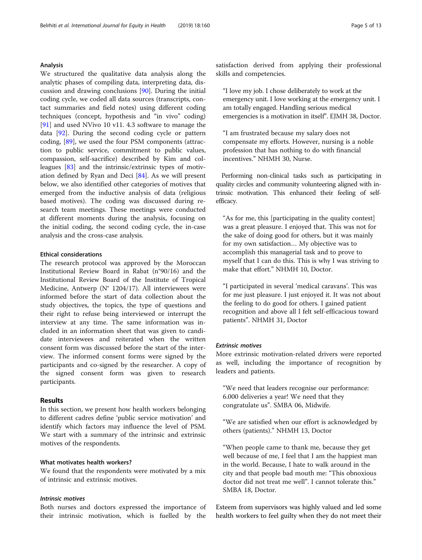# Analysis

We structured the qualitative data analysis along the analytic phases of compiling data, interpreting data, discussion and drawing conclusions [[90\]](#page-11-0). During the initial coding cycle, we coded all data sources (transcripts, contact summaries and field notes) using different coding techniques (concept, hypothesis and "in vivo" coding) [[91\]](#page-11-0) and used NVivo 10 v11. 4.3 software to manage the data [\[92](#page-11-0)]. During the second coding cycle or pattern coding, [[89\]](#page-11-0), we used the four PSM components (attraction to public service, commitment to public values, compassion, self-sacrifice) described by Kim and colleagues [\[83\]](#page-11-0) and the intrinsic/extrinsic types of motivation defined by Ryan and Deci [[84\]](#page-11-0). As we will present below, we also identified other categories of motives that emerged from the inductive analysis of data (religious based motives). The coding was discussed during research team meetings. These meetings were conducted at different moments during the analysis, focusing on the initial coding, the second coding cycle, the in-case analysis and the cross-case analysis.

# Ethical considerations

The research protocol was approved by the Moroccan Institutional Review Board in Rabat (n°90/16) and the Institutional Review Board of the Institute of Tropical Medicine, Antwerp (N° 1204/17). All interviewees were informed before the start of data collection about the study objectives, the topics, the type of questions and their right to refuse being interviewed or interrupt the interview at any time. The same information was included in an information sheet that was given to candidate interviewees and reiterated when the written consent form was discussed before the start of the interview. The informed consent forms were signed by the participants and co-signed by the researcher. A copy of the signed consent form was given to research participants.

# **Results**

In this section, we present how health workers belonging to different cadres define 'public service motivation' and identify which factors may influence the level of PSM. We start with a summary of the intrinsic and extrinsic motives of the respondents.

# What motivates health workers?

We found that the respondents were motivated by a mix of intrinsic and extrinsic motives.

# Intrinsic motives

Both nurses and doctors expressed the importance of their intrinsic motivation, which is fuelled by the

"I love my job. I chose deliberately to work at the emergency unit. I love working at the emergency unit. I am totally engaged. Handling serious medical emergencies is a motivation in itself". EJMH 38, Doctor.

"I am frustrated because my salary does not compensate my efforts. However, nursing is a noble profession that has nothing to do with financial incentives." NHMH 30, Nurse.

Performing non-clinical tasks such as participating in quality circles and community volunteering aligned with intrinsic motivation. This enhanced their feeling of selfefficacy.

"As for me, this [participating in the quality contest] was a great pleasure. I enjoyed that. This was not for the sake of doing good for others, but it was mainly for my own satisfaction… My objective was to accomplish this managerial task and to prove to myself that I can do this. This is why I was striving to make that effort." NHMH 10, Doctor.

"I participated in several 'medical caravans'. This was for me just pleasure. I just enjoyed it. It was not about the feeling to do good for others. I gained patient recognition and above all I felt self-efficacious toward patients". NHMH 31, Doctor

# Extrinsic motives

More extrinsic motivation-related drivers were reported as well, including the importance of recognition by leaders and patients.

"We need that leaders recognise our performance: 6.000 deliveries a year! We need that they congratulate us". SMBA 06, Midwife.

"We are satisfied when our effort is acknowledged by others (patients)." NHMH 13, Doctor

"When people came to thank me, because they get well because of me, I feel that I am the happiest man in the world. Because, I hate to walk around in the city and that people bad mouth me: "This obnoxious doctor did not treat me well". I cannot tolerate this." SMBA 18, Doctor.

Esteem from supervisors was highly valued and led some health workers to feel guilty when they do not meet their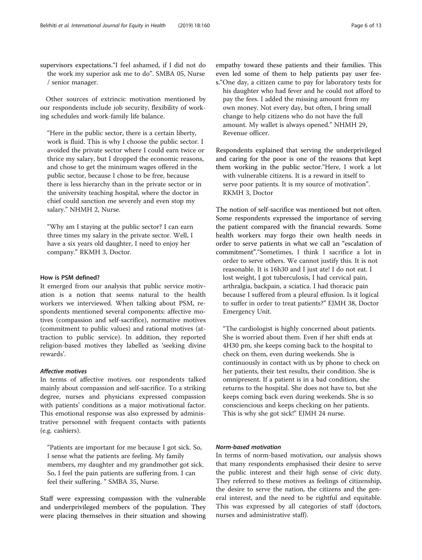supervisors expectations."I feel ashamed, if I did not do the work my superior ask me to do". SMBA 05, Nurse / senior manager.

Other sources of extrincic motivation mentioned by our respondents include job security, flexibility of working schedules and work-family life balance.

"Here in the public sector, there is a certain liberty, work is fluid. This is why I choose the public sector. I avoided the private sector where I could earn twice or thrice my salary, but I dropped the economic reasons, and chose to get the minimum wages offered in the public sector, because I chose to be free, because there is less hierarchy than in the private sector or in the university teaching hospital, where the doctor in chief could sanction me severely and even stop my salary." NHMH 2, Nurse.

"Why am I staying at the public sector? I can earn three times my salary in the private sector. Well, I have a six years old daughter, I need to enjoy her company." RKMH 3, Doctor.

# How is PSM defined?

It emerged from our analysis that public service motivation is a notion that seems natural to the health workers we interviewed. When talking about PSM, respondents mentioned several components: affective motives (compassion and self-sacrifice), normative motives (commitment to public values) and rational motives (attraction to public service). In addition, they reported religion-based motives they labelled as 'seeking divine rewards'.

# Affective motives

In terms of affective motives, our respondents talked mainly about compassion and self-sacrifice. To a striking degree, nurses and physicians expressed compassion with patients' conditions as a major motivational factor. This emotional response was also expressed by administrative personnel with frequent contacts with patients (e.g. cashiers).

"Patients are important for me because I got sick. So, I sense what the patients are feeling. My family members, my daughter and my grandmother got sick. So, I feel the pain patients are suffering from. I can feel their suffering. " SMBA 35, Nurse.

Staff were expressing compassion with the vulnerable and underprivileged members of the population. They were placing themselves in their situation and showing

empathy toward these patients and their families. This even led some of them to help patients pay user fees."One day, a citizen came to pay for laboratory tests for

his daughter who had fever and he could not afford to pay the fees. I added the missing amount from my own money. Not every day, but often, I bring small change to help citizens who do not have the full amount. My wallet is always opened." NHMH 29, Revenue officer.

Respondents explained that serving the underprivileged and caring for the poor is one of the reasons that kept them working in the public sector."Here, I work a lot with vulnerable citizens. It is a reward in itself to serve poor patients. It is my source of motivation". RKMH 3, Doctor

The notion of self-sacrifice was mentioned but not often. Some respondents expressed the importance of serving the patient compared with the financial rewards. Some health workers may forgo their own health needs in order to serve patients in what we call an "escalation of commitment"."Sometimes, I think I sacrifice a lot in order to serve others. We cannot justify this. It is not reasonable. It is 16h30 and I just ate! I do not eat. I lost weight, I got tuberculosis, I had cervical pain, arthralgia, backpain, a sciatica. I had thoracic pain because I suffered from a pleural effusion. Is it logical to suffer in order to treat patients?" EJMH 38, Doctor Emergency Unit.

"The cardiologist is highly concerned about patients. She is worried about them. Even if her shift ends at 4H30 pm, she keeps coming back to the hospital to check on them, even during weekends. She is continuously in contact with us by phone to check on her patients, their test results, their condition. She is omnipresent. If a patient is in a bad condition, she returns to the hospital. She does not have to, but she keeps coming back even during weekends. She is so consciencious and keeps checking on her patients. This is why she got sick!" EJMH 24 nurse.

# Norm-based motivation

In terms of norm-based motivation, our analysis shows that many respondents emphasised their desire to serve the public interest and their high sense of civic duty. They referred to these motives as feelings of citizenship, the desire to serve the nation, the citizens and the general interest, and the need to be rightful and equitable. This was expressed by all categories of staff (doctors, nurses and administrative staff).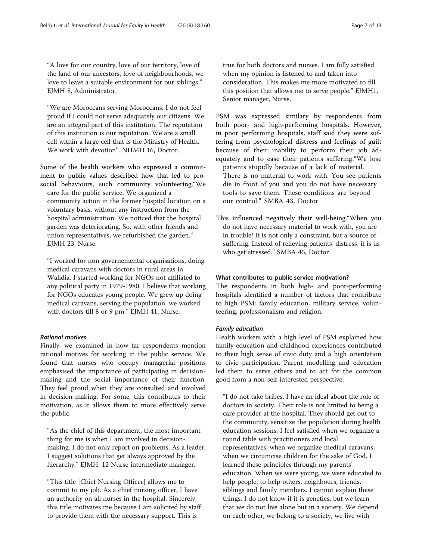"A love for our country, love of our territory, love of the land of our ancestors, love of neighbourhoods, we love to leave a suitable environment for our siblings." EJMH 8, Administrator.

"We are Moroccans serving Moroccans. I do not feel proud if I could not serve adequately our citizens. We are an integral part of this institution. The reputation of this institution is our reputation. We are a small cell within a large cell that is the Ministry of Health. We work with devotion". NHMH 16, Doctor.

Some of the health workers who expressed a commitment to public values described how that led to prosocial behaviours, such community volunteering."We care for the public service. We organized a community action in the former hospital location on a voluntary basis, without any instruction from the hospital administration. We noticed that the hospital garden was deteriorating. So, with other friends and union representatives, we refurbished the garden." EJMH 23, Nurse.

"I worked for non governemental organisations, doing medical caravans with doctors in rural areas in Walidia. I started working for NGOs not affiliated to any political party in 1979-1980. I believe that working for NGOs educates young people. We grew up doing medical caravans, serving the population, we worked with doctors till 8 or 9 pm." EJMH 41, Nurse.

# Rational motives

Finally, we examined in how far respondents mention rational motives for working in the public service. We found that nurses who occupy managerial positions emphasised the importance of participating in decisionmaking and the social importance of their function. They feel proud when they are consulted and involved in decision-making. For some, this contributes to their motivation, as it allows them to more effectively serve the public.

"As the chief of this department, the most important thing for me is when I am involved in decisionmaking. I do not only report on problems. As a leader, I suggest solutions that get always approved by the hierarchy." EJMH, 12 Nurse intermediate manager.

"This title [Chief Nursing Officer] allows me to commit to my job. As a chief nursing officer, I have an authority on all nurses in the hospital. Sincerely, this title motivates me because I am solicited by staff to provide them with the necessary support. This is

true for both doctors and nurses. I am fully satisfied when my opinion is listened to and taken into consideration. This makes me more motivated to fill this position that allows me to serve people." EJMH1, Senior manager, Nurse.

PSM was expressed similary by respondents from both poor- and high-performing hospitals. However, in poor performing hospitals, staff said they were suffering from psychological distress and feelings of guilt because of their inability to perform their job adequately and to ease their patients suffering."We lose patients stupidly because of a lack of material. There is no material to work with. You see patients die in front of you and you do not have necessary tools to save them. These conditions are beyond our control." SMBA 43, Doctor

This influenced negatively their well-being."When you do not have necessary material to work with, you are in trouble! It is not only a constraint, but a source of suffering. Instead of relieving patients' distress, it is us who get stressed." SMBA 45, Doctor

#### What contributes to public service motivation?

The respondents in both high- and poor-performing hospitals identified a number of factors that contribute to high PSM: family education, military service, volunteering, professionalism and religion.

# Family education

Health workers with a high level of PSM explained how family education and childhood experiences contributed to their high sense of civic duty and a high orientation to civic participation. Parent modelling and education led them to serve others and to act for the common good from a non-self-interested perspective.

"I do not take bribes. I have an ideal about the role of doctors in society. Their role is not limited to being a care provider at the hospital. They should get out to the community, sensitize the population during health education sessions. I feel satisfied when we organize a round table with practitioners and local representatives, when we organize medical caravans, when we circumcise children for the sake of God. I learned these principles through my parents' education. When we were young, we were educated to help people, to help others, neighbours, friends, siblings and family members. I cannot explain these things, I do not know if it is genetics, but we learn that we do not live alone but in a society. We depend on each other, we belong to a society, we live with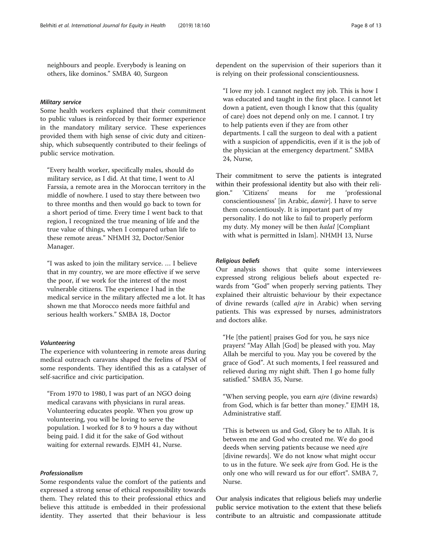neighbours and people. Everybody is leaning on others, like dominos." SMBA 40, Surgeon

#### Military service

Some health workers explained that their commitment to public values is reinforced by their former experience in the mandatory military service. These experiences provided them with high sense of civic duty and citizenship, which subsequently contributed to their feelings of public service motivation.

"Every health worker, specifically males, should do military service, as I did. At that time, I went to Al Farssia, a remote area in the Moroccan territory in the middle of nowhere. I used to stay there between two to three months and then would go back to town for a short period of time. Every time I went back to that region, I recognized the true meaning of life and the true value of things, when I compared urban life to these remote areas." NHMH 32, Doctor/Senior Manager.

"I was asked to join the military service. … I believe that in my country, we are more effective if we serve the poor, if we work for the interest of the most vulnerable citizens. The experience I had in the medical service in the military affected me a lot. It has shown me that Morocco needs more faithful and serious health workers." SMBA 18, Doctor

#### Volunteering

The experience with volunteering in remote areas during medical outreach caravans shaped the feelins of PSM of some respondents. They identified this as a catalyser of self-sacrifice and civic participation.

"From 1970 to 1980, I was part of an NGO doing medical caravans with physicians in rural areas. Volunteering educates people. When you grow up volunteering, you will be loving to serve the population. I worked for 8 to 9 hours a day without being paid. I did it for the sake of God without waiting for external rewards. EJMH 41, Nurse.

#### Professionalism

Some respondents value the comfort of the patients and expressed a strong sense of ethical responsibility towards them. They related this to their professional ethics and believe this attitude is embedded in their professional identity. They asserted that their behaviour is less

dependent on the supervision of their superiors than it is relying on their professional conscientiousness.

"I love my job. I cannot neglect my job. This is how I was educated and taught in the first place. I cannot let down a patient, even though I know that this (quality of care) does not depend only on me. I cannot. I try to help patients even if they are from other departments. I call the surgeon to deal with a patient with a suspicion of appendicitis, even if it is the job of the physician at the emergency department." SMBA 24, Nurse,

Their commitment to serve the patients is integrated within their professional identity but also with their religion." 'Citizens' means for me 'professional conscientiousness' [in Arabic, damir]. I have to serve them conscientiously. It is important part of my personality. I do not like to fail to properly perform my duty. My money will be then halal [Compliant with what is permitted in Islam]. NHMH 13, Nurse

#### Religious beliefs

Our analysis shows that quite some interviewees expressed strong religious beliefs about expected rewards from "God" when properly serving patients. They explained their altruistic behaviour by their expectance of divine rewards (called ajre in Arabic) when serving patients. This was expressed by nurses, administrators and doctors alike.

"He [the patient] praises God for you, he says nice prayers! "May Allah [God] be pleased with you. May Allah be merciful to you. May you be covered by the grace of God". At such moments, I feel reassured and relieved during my night shift. Then I go home fully satisfied." SMBA 35, Nurse.

"When serving people, you earn ajre (divine rewards) from God, which is far better than money." EJMH 18, Administrative staff.

'This is between us and God, Glory be to Allah. It is between me and God who created me. We do good deeds when serving patients because we need *ajre* [divine rewards]. We do not know what might occur to us in the future. We seek ajre from God. He is the only one who will reward us for our effort". SMBA 7, Nurse.

Our analysis indicates that religious beliefs may underlie public service motivation to the extent that these beliefs contribute to an altruistic and compassionate attitude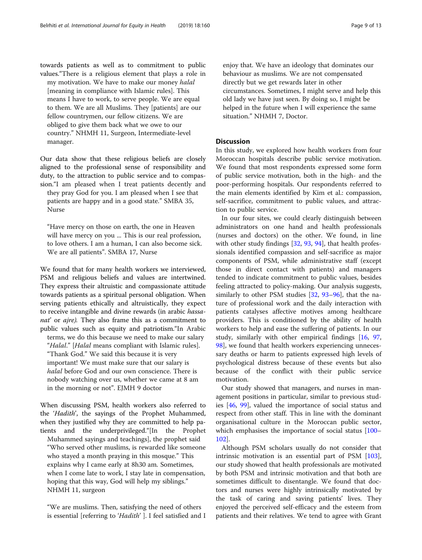towards patients as well as to commitment to public values."There is a religious element that plays a role in my motivation. We have to make our money halal [meaning in compliance with Islamic rules]. This means I have to work, to serve people. We are equal to them. We are all Muslims. They [patients] are our fellow countrymen, our fellow citizens. We are obliged to give them back what we owe to our country." NHMH 11, Surgeon, Intermediate-level manager.

Our data show that these religious beliefs are closely aligned to the professional sense of responsibility and duty, to the attraction to public service and to compassion."I am pleased when I treat patients decently and they pray God for you. I am pleased when I see that patients are happy and in a good state." SMBA 35, Nurse

"Have mercy on those on earth, the one in Heaven will have mercy on you ... This is our real profession, to love others. I am a human, I can also become sick. We are all patients". SMBA 17, Nurse

We found that for many health workers we interviewed, PSM and religious beliefs and values are intertwined. They express their altruistic and compassionate attitude towards patients as a spiritual personal obligation. When serving patients ethically and altruistically, they expect to receive intangible and divine rewards (in arabic hassanat' or ajre). They also frame this as a commitment to public values such as equity and patriotism."In Arabic

terms, we do this because we need to make our salary "Halal." [Halal means compliant with Islamic rules]. "Thank God." We said this because it is very important! We must make sure that our salary is halal before God and our own conscience. There is nobody watching over us, whether we came at 8 am in the morning or not". EJMH 9 doctor

When discussing PSM, health workers also referred to the 'Hadith', the sayings of the Prophet Muhammed, when they justified why they are committed to help patients and the underprivileged."[In the Prophet Muhammed sayings and teachings], the prophet said "Who served other muslims, is rewarded like someone who stayed a month praying in this mosque." This explains why I came early at 8h30 am. Sometimes, when I come late to work, I stay late in compensation, hoping that this way, God will help my siblings." NHMH 11, surgeon

"We are muslims. Then, satisfying the need of others is essential [referring to 'Hadith']. I feel satisfied and I enjoy that. We have an ideology that dominates our behaviour as muslims. We are not compensated directly but we get rewards later in other circumstances. Sometimes, I might serve and help this old lady we have just seen. By doing so, I might be helped in the future when I will experience the same situation." NHMH 7, Doctor.

# **Discussion**

In this study, we explored how health workers from four Moroccan hospitals describe public service motivation. We found that most respondents expressed some form of public service motivation, both in the high- and the poor-performing hospitals. Our respondents referred to the main elements identified by Kim et al.: compassion, self-sacrifice, commitment to public values, and attraction to public service.

In our four sites, we could clearly distinguish between administrators on one hand and health professionals (nurses and doctors) on the other. We found, in line with other study findings [\[32](#page-10-0), [93](#page-11-0), [94](#page-11-0)], that health professionals identified compassion and self-sacrifice as major components of PSM, while administrative staff (except those in direct contact with patients) and managers tended to indicate commitment to public values, besides feeling attracted to policy-making. Our analysis suggests, similarly to other PSM studies [[32,](#page-10-0) [93](#page-11-0)–[96\]](#page-11-0), that the nature of professional work and the daily interaction with patients catalyses affective motives among healthcare providers. This is conditioned by the ability of health workers to help and ease the suffering of patients. In our study, similarly with other empirical findings [\[16](#page-10-0), [97](#page-11-0), [98\]](#page-11-0), we found that health workers experiencing unnecessary deaths or harm to patients expressed high levels of psychological distress because of these events but also because of the conflict with their public service motivation.

Our study showed that managers, and nurses in management positions in particular, similar to previous studies [[46,](#page-10-0) [99\]](#page-11-0), valued the importance of social status and respect from other staff. This in line with the dominant organisational culture in the Moroccan public sector, which emphasises the importance of social status [[100](#page-11-0)– [102](#page-11-0)].

Although PSM scholars usually do not consider that intrinsic motivation is an essential part of PSM [[103](#page-11-0)], our study showed that health professionals are motivated by both PSM and intrinsic motivation and that both are sometimes difficult to disentangle. We found that doctors and nurses were highly intrinsically motivated by the task of caring and saving patients' lives. They enjoyed the perceived self-efficacy and the esteem from patients and their relatives. We tend to agree with Grant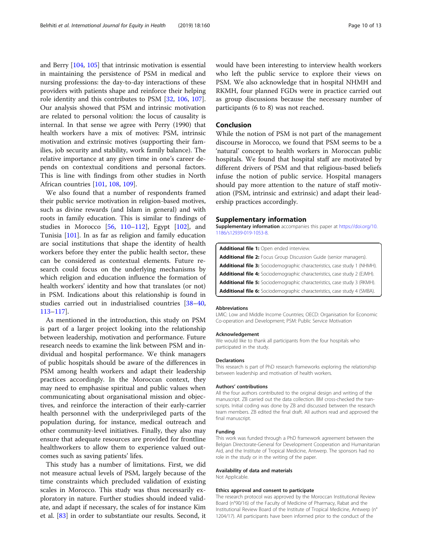<span id="page-9-0"></span>and Berry [[104,](#page-11-0) [105\]](#page-12-0) that intrinsic motivation is essential in maintaining the persistence of PSM in medical and nursing professions: the day-to-day interactions of these providers with patients shape and reinforce their helping role identity and this contributes to PSM [[32,](#page-10-0) [106,](#page-12-0) [107](#page-12-0)]. Our analysis showed that PSM and intrinsic motivation are related to personal volition: the locus of causality is internal. In that sense we agree with Perry (1990) that health workers have a mix of motives: PSM, intrinsic motivation and extrinsic motives (supporting their families, job security and stability, work family balance). The relative importance at any given time in one's career depends on contextual conditions and personal factors. This is line with findings from other studies in North African countries [[101,](#page-11-0) [108](#page-12-0), [109](#page-12-0)].

We also found that a number of respondents framed their public service motivation in religion-based motives, such as divine rewards (and Islam in general) and with roots in family education. This is similar to findings of studies in Morocco  $[56, 110-112]$  $[56, 110-112]$  $[56, 110-112]$  $[56, 110-112]$  $[56, 110-112]$  $[56, 110-112]$  $[56, 110-112]$ , Egypt  $[102]$ , and Tunisia [\[101\]](#page-11-0). In as far as religion and family education are social institutions that shape the identity of health workers before they enter the public health sector, these can be considered as contextual elements. Future research could focus on the underlying mechanisms by which religion and education influence the formation of health workers' identity and how that translates (or not) in PSM. Indications about this relationship is found in studies carried out in industrialised countries [[38](#page-10-0)–[40](#page-10-0), [113](#page-12-0)–[117](#page-12-0)].

As mentioned in the introduction, this study on PSM is part of a larger project looking into the relationship between leadership, motivation and performance. Future research needs to examine the link between PSM and individual and hospital performance. We think managers of public hospitals should be aware of the differences in PSM among health workers and adapt their leadership practices accordingly. In the Moroccan context, they may need to emphasise spiritual and public values when communicating about organisational mission and objectives, and reinforce the interaction of their early-carrier health personnel with the underprivileged parts of the population during, for instance, medical outreach and other community-level initiatives. Finally, they also may ensure that adequate resources are provided for frontline healthworkers to allow them to experience valued outcomes such as saving patients' lifes.

This study has a number of limitations. First, we did not measure actual levels of PSM, largely because of the time constraints which precluded validation of existing scales in Morocco. This study was thus necessarily exploratory in nature. Further studies should indeed validate, and adapt if necessary, the scales of for instance Kim et al. [\[83](#page-11-0)] in order to substantiate our results. Second, it would have been interesting to interview health workers who left the public service to explore their views on PSM. We also acknowledge that in hospital NHMH and RKMH, four planned FGDs were in practice carried out as group discussions because the necessary number of participants (6 to 8) was not reached.

# Conclusion

While the notion of PSM is not part of the management discourse in Morocco, we found that PSM seems to be a 'natural' concept to health workers in Moroccan public hospitals. We found that hospital staff are motivated by different drivers of PSM and that religious-based beliefs infuse the notion of public service. Hospital managers should pay more attention to the nature of staff motivation (PSM, intrinsic and extrinsic) and adapt their leadership practices accordingly.

#### Supplementary information

Supplementary information accompanies this paper at [https://doi.org/10.](https://doi.org/10.1186/s12939-019-1053-8) [1186/s12939-019-1053-8.](https://doi.org/10.1186/s12939-019-1053-8)

| Additional file 1: Open ended interview.                                         |
|----------------------------------------------------------------------------------|
| <b>Additional file 2:</b> Focus Group Discussion Guide (senior managers).        |
| Additional file 3: Sociodemographic characteristics, case study 1 (NHMH).        |
| <b>Additional file 4:</b> Sociodemographic characteristics, case study 2 (EJMH). |
| <b>Additional file 5:</b> Sociodemographic characteristics, case study 3 (RKMH). |
| <b>Additional file 6:</b> Sociodemographic characteristics, case study 4 (SMBA). |

#### Abbreviations

LMIC: Low and Middle Income Countries; OECD: Organisation for Economic Co-operation and Development; PSM: Public Service Motivation

#### Acknowledgement

We would like to thank all participants from the four hospitals who participated in the study.

#### Declarations

This research is part of PhD research frameworks exploring the relationship between leadership and motivation of health workers.

#### Authors' contributions

All the four authors contributed to the original design and writing of the manuscript. ZB carried out the data collection. BM cross-checked the transcripts. Initial coding was done by ZB and discussed between the research team members. ZB edited the final draft. All authors read and approved the final manuscript.

#### Funding

This work was funded through a PhD framework agreement between the Belgian Directorate-General for Development Cooperation and Humanitarian Aid, and the Institute of Tropical Medicine, Antwerp. The sponsors had no role in the study or in the writing of the paper.

#### Availability of data and materials

Not Applicable.

#### Ethics approval and consent to participate

The research protocol was approved by the Moroccan Institutional Review Board (n°90/16) of the Faculty of Medicine of Pharmacy, Rabat and the Institutional Review Board of the Institute of Tropical Medicine, Antwerp (n° 1204/17). All participants have been informed prior to the conduct of the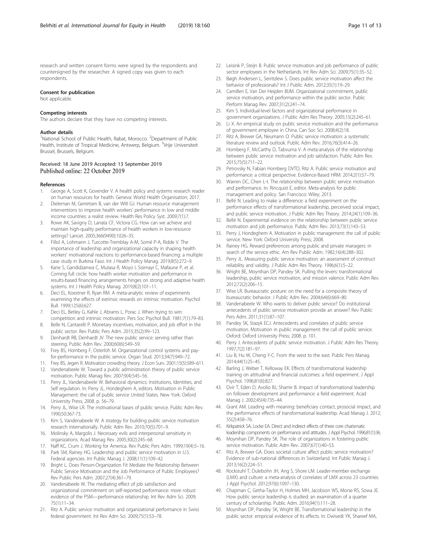<span id="page-10-0"></span>research and written consent forms were signed by the respondents and countersigned by the researcher. A signed copy was given to each respondents.

#### Consent for publication

Not applicable.

#### Competing interests

The authors declare that they have no competing interests.

#### Author details

<sup>1</sup>National School of Public Health, Rabat, Morocco. <sup>2</sup>Department of Public Health, Institute of Tropical Medicine, Antwerp, Belgium. <sup>3</sup>Vrije Universiteit Brussel, Brussels, Belgium.

#### Received: 18 June 2019 Accepted: 13 September 2019 Published online: 22 October 2019

#### References

- 1. George A, Scott K, Govender V. A health policy and systems research reader on human resources for health. Geneva: World Health Organisation; 2017.
- 2. Dieleman M, Gerretsen B, van der Wilt GJ. Human resource management interventions to improve health workers' performance in low and middle income countries: a realist review. Health Res Policy Syst. 2009;7(1):7.
- 3. Rowe AK, Savigny D, Lanata CF, Victora CG. How can we achieve and maintain high-quality performance of health workers in low-resource settings? Lancet. 2005;366(9490):1026–35.
- 4. Fillol A, Lohmann J, Turcotte-Tremblay A-M, Somé P-A, Ridde V. The importance of leadership and organizational capacity in shaping health workers' motivational reactions to performance-based financing: a multiple case study in Burkina Faso. Int J Health Policy Manag. 2019;8(5):272–9.
- 5. Kane S, Gandidzanwa C, Mutasa R, Moyo I, Sisimayi C, Mafaune P, et al. Coming full circle: how health worker motivation and performance in results-based financing arrangements hinges on strong and adaptive health systems. Int J Health Policy Manag. 2019;8(2):101–11.
- 6. Deci EL, Koestner R, Ryan RM. A meta-analytic review of experiments examining the effects of extrinsic rewards on intrinsic motivation. Psychol Bull. 1999;125(6):627.
- 7. Deci EL, Betley G, Kahle J, Abrams L, Porac J. When trying to win: competition and intrinsic motivation. Pers Soc Psychol Bull. 1981;7(1):79–83.
- Belle N, Cantarelli P. Monetary incentives, motivation, and job effort in the public sector. Rev Public Pers Adm. 2015;35(2):99–123.
- 9. Denhardt RB, Denhardt JV. The new public service: serving rather than steering. Public Adm Rev. 2000;60(6):549–59.
- 10. Frey BS, Homberg F, Osterloh M. Organizational control systems and payfor-performance in the public service. Organ Stud. 2013;34(7):949–72.
- 11. Frey BS, Jegen R. Motivation crowding theory. J Econ Surv. 2001;15(5):589–611.
- 12. Vandenabeele W. Toward a public administration theory of public service motivation. Public Manag Rev. 2007;9(4):545–56.
- 13. Perry JL, Vandenabeele W. Behavioral dynamics: Institutions, Identities, and Self regulation. In: Perry JL, Hondeghem A, editors. Motivation in Public Management: the call of public service United States. New York: Oxford University Press; 2008. p. 56–79.
- 14. Perry JL, Wise LR. The motivational bases of public service. Public Adm Rev. 1990;50:367-73.
- 15. Kim S, Vandenabeele W. A strategy for building public service motivation research internationally. Public Adm Rev. 2010;70(5):701–9.
- 16. Molinsky A, Margolis J. Necessary evils and interpersonal sensitivity in organizations. Acad Manag Rev. 2005;30(2):245–68.
- 17. Naff KC, Crum J. Working for America. Rev Public Pers Adm. 1999;19(4):5–16.
- 18. Park SM, Rainey HG. Leadership and public service motivation in U.S. Federal agencies. Int Public Manag J. 2008;11(1):109–42.
- 19. Bright L. Does Person-Organization Fit Mediate the Relationship Between Public Service Motivation and the Job Performance of Public Employees? Rev Public Pers Adm. 2007;27(4):361–79.
- 20. Vandenabeele W. The mediating effect of job satisfaction and organizational commitment on self-reported performance: more robust evidence of the PSM—performance relationship. Int Rev Adm Sci. 2009; 75(1):11–34.
- 21. Ritz A. Public service motivation and organizational performance in Swiss federal government. Int Rev Adm Sci. 2009;75(1):53–78.
- 22. Leisink P, Steijn B. Public service motivation and job performance of public sector employees in the Netherlands. Int Rev Adm Sci. 2009;75(1):35–52.
- Bøgh Andersen L, Serritzlew S. Does public service motivation affect the behavior of professionals? Int J Public Adm. 2012;35(1):19–29.
- 24. Camilleri E, Van Der Heijden BIJM. Organizational commitment, public service motivation, and performance within the public sector. Public Perform Manag Rev. 2007;31(2):241–74.
- 25. Kim S. Individual-level factors and organizational performance in government organizations. J Public Adm Res Theory. 2005;15(2):245–61.
- Li X. An empirical study on public service motivation and the performance of government employee in China. Can Soc Sci. 2008;4(2):18.
- 27. Ritz A, Brewer GA, Neumann O. Public service motivation: a systematic literature review and outlook. Public Adm Rev. 2016;76(3):414–26.
- 28. Homberg F, McCarthy D, Tabvuma V. A meta-analysis of the relationship between public service motivation and job satisfaction. Public Adm Rev. 2015;75(5):711–22.
- 29. Petrovsky N, Fabian Homberg DVTD, Ritz A. Public service motivation and performance: a critical perspective. Evidence-Based HRM. 2014;2(1):57–79.
- 30. Warren DC, Chen L-t. The relationship between public service motivation and performance. In: Rincquist E, editor. Meta-analysis for public management and policy. San Francisco: Wiley; 2013.
- 31. Bellé N. Leading to make a difference: a field experiment on the performance effects of transformational leadership, perceived social impact, and public service motivation. J Public Adm Res Theory. 2014;24(1):109–36.
- 32. Bellé N. Experimental evidence on the relationship between public service motivation and job performance. Public Adm Rev. 2013;73(1):143–53.
- 33. Perry J, Hondeghem A. Motivation in public management: the call of public service. New York: Oxford University Press; 2008.
- 34. Rainey HG. Reward preferences among public and private managers: in search of the service ethic. Am Rev Public Adm. 1982;16(4):288–302.
- 35. Perry JL. Measuring public service motivation: an assessment of construct reliability and validity. J Public Adm Res Theory. 1996;6(1):5–22.
- 36. Wright BE, Moynihan DP, Pandey SK. Pulling the levers: transformational leadership, public service motivation, and mission valence. Public Adm Rev. 2012;72(2):206–15.
- 37. Wise LR. Bureaucratic posture: on the need for a composite theory of bureaucratic behavior. J Public Adm Rev. 2004;64(6):669–80.
- 38. Vandenabeele W. Who wants to deliver public service? Do institutional antecedents of public service motivation provide an answer? Rev Public Pers Adm. 2011;31(1):87–107.
- 39. Pandey SK, Stazyk ECJ. Antecedents and correlates of public service motivation. Motivation in public management: the call of public service. Oxford: Oxford University Press; 2008. p. 101.
- 40. Perry J. Antecedents of public service motivation. J Public Adm Res Theory. 1997;7(2):181–97.
- 41. Liu B, Hu W, Cheng Y-C. From the west to the east. Public Pers Manag. 2014;44(1):25–45.
- 42. Barling J, Weber T, Kelloway EK. Effects of transformational leadership training on attitudinal and financial outcomes: a field experiment. J Appl Psychol. 1996;81(6):827.
- 43. Dvir T, Eden D, Avolio BJ, Shamir B. Impact of transformational leadership on follower development and performance: a field experiment. Acad Manag J. 2002;45(4):735–44.
- 44. Grant AM. Leading with meaning: beneficiary contact, prosocial impact, and the performance effects of transformational leadership. Acad Manag J. 2012; 55(2):458–76.
- 45. Kirkpatrick SA, Locke EA. Direct and indirect effects of three core charismatic leadership components on performance and attitudes. J Appl Psychol. 1996;81(1):36.
- 46. Moynihan DP, Pandey SK. The role of organizations in fostering public service motivation. Public Adm Rev. 2007;67(1):40–53.
- 47. Ritz A, Brewer GA. Does societal culture affect public service motivation? Evidence of sub-national differences in Switzerland. Int Public Manag J. 2013;16(2):224–51.
- 48. Rockstuhl T, Dulebohn JH, Ang S, Shore LM. Leader-member exchange (LMX) and culture: a meta-analysis of correlates of LMX across 23 countries. J Appl Psychol. 2012;97(6):1097–130.
- 49. Chapman C, Getha-Taylor H, Holmes MH, Jacobson WS, Morse RS, Sowa JE. How public service leadership is studied: an examination of a quarter century of scholarship. Public Adm. 2016;94(1):111–28.
- 50. Moynihan DP, Pandey SK, Wright BE. Transformational leadership in the public sector: empricial evidence of Its effects. In: Dwivedi YK, Shareef MA,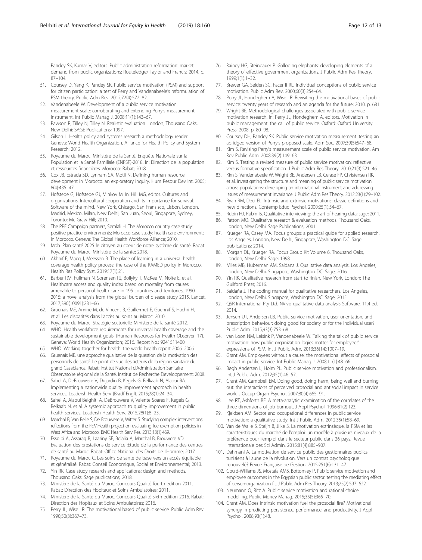<span id="page-11-0"></span>Pandey SK, Kumar V, editors. Public administration reformation: market demand from public organizations: Routeledge/ Taylor and Francis; 2014. p. 87–104.

- 51. Coursey D, Yang K, Pandey SK. Public service motivation (PSM) and support for citizen participation: a test of Perry and Vandenabeele's reformulation of PSM theory. Public Adm Rev. 2012;72(4):572–82.
- 52. Vandenabeele W. Development of a public service motivation measurement scale: corroborating and extending Perry's measurement instrument. Int Public Manag J. 2008;11(1):143–67.
- 53. Pawson R, Tilley N, Tilley N. Realistic evaluation. London, Thousand Oaks, New Delhi: SAGE Publications; 1997.
- 54. Gilson L. Health policy and systems research a methodology reader. Geneva: World Health Organization, Alliance for Health Policy and System Research; 2012.
- 55. Royaume du Maroc, Ministère de la Santé. Enquête Nationale sur la Population et la Santé Familiale (ENPSF)-2018. In: Direction de la population et ressources financières. Morocco: Rabat; 2018.
- 56. Cox JB, Estrada SD, Lynham SA, Motii N. Defining human resource development in Morocco: an exploratory inquiry. Hum Resour Dev Int. 2005; 8(4):435–47.
- 57. Hofstede G, Hofstede GJ, Minkov M. In: Hill MG, editor. Cultures and organizations. Intercultural cooperation and its importance for survival. Software of the mind. New York, Chicago, San Fransisco, Lisbon, London, Madrid, Mexico, Milan, New Delhi, San Juan, Seoul, Singapore, Sydney, Toronto: Mc Graw Hill; 2010.
- 58. The PPE Campaign partners, Semlali H. The Morocco country case study: positive practice environments; Morocco case study: health care environments in Morocco. Geneva: The Global Health Workforce Alliance; 2010.
- 59. Moh. Plan santé 2025 le citoyen au coeur de notre système de santé. Rabat: Royaume du Maroc; Ministère de la santé; 2018.
- 60. Akhnif E, Macq J, Meessen B. The place of learning in a universal health coverage health policy process: the case of the RAMED policy in Morocco. Health Res Policy Syst. 2019;17(1):21.
- 61. Barber RM, Fullman N, Sorensen RJ, Bollyky T, McKee M, Nolte E, et al. Healthcare access and quality index based on mortality from causes amenable to personal health care in 195 countries and territories, 1990– 2015: a novel analysis from the global burden of disease study 2015. Lancet. 2017;390(10091):231–66.
- 62. Gruenais ME, Amine M, de Vincent B, Guillermet E, Guennif S, Hachri H, et al. Les disparités dans l'accès au soins au Maroc. 2010.
- 63. Royaume du Maroc. Stratégie sectorielle Ministère de la santé 2012.
- 64. WHO. Health workforce requirements for universal health coverage and the sustainable development goals. (Human Resources for Health Observer, 17). Geneva: World Health Organization; 2016. Report No.: 9241511400
- 65. WHO. Working together for health: the world health report 2006. 2006.
- 66. Gruenais ME. une approche qualitative de la question de la motivation des personnels de santé. Le point de vue des acteurs de la région sanitaire du grand Casablanca. Rabat: Institut National d'Administration Sanitaire Observatoire régional de la Santé, Institut de Recherche Developpement; 2008.
- 67. Sahel A, DeBrouwere V, Dujardin B, Kegels G, Belkaab N, Alaoui BA. Implementing a nationwide quality improvement approach in health services. Leadersh Health Serv (Bradf Engl). 2015;28(1):24–34.
- 68. Sahel A, Alaoui Belghiti A, DeBrouwere V, Valente Soares F, Kegels G, Belkaab N, et al. A systemic approach to quality improvement in public health services. Leadersh Health Serv. 2015;28(1):8–23.
- 69. Marchal B, Van Belle S, De Brouwere V, Witter S. Studying complex interventions: reflections from the FEMHealth project on evaluating fee exemption policies in West Africa and Morocco. BMC Health Serv Res. 2013;13(1):469.
- 70. Essolbi A, Assarag B, Laariny SE, Belalia A, Marchal B, Brouwere VD. Evaluation des prestations de service :Étude de la performance des centres de santé au Maroc. Rabat: Office National des Droits de l'Homme; 2017.
- 71. Royaume du Maroc C. Les soins de santé de base vers un accès équitable et généralisé. Rabat: Conseil Economique, Social et Environnemental; 2013.
- 72. Yin RK. Case study research and applications: design and methods. Thousand Oaks: Sage publications; 2018.
- 73. Ministère de la Santé du Maroc. Concours Qualité fourth edition 2011. Rabat: Direction des Hopitaux et Soins Ambulatoires; 2011.
- 74. Ministère de la Santé du Maroc. Concours Qualité sixth edition 2016. Rabat: Direction des Hopitaux et Soins Ambulatoires; 2016.
- 75. Perry JL, Wise LR. The motivational based of public service. Public Adm Rev. 1990;50(3):367–73.
- 76. Rainey HG, Steinbauer P. Galloping elephants: developing elements of a theory of effective government organizations. J Public Adm Res Theory. 1999;1(1):1–32.
- 77. Brewer GA, Selden SC, Facer Ii RL. Individual conceptions of public service motivation. Public Adm Rev. 2000;60(3):254–64.
- 78. Perry JL, Hondeghem A, Wise LR. Revisiting the motivational bases of public service: twenty years of research and an agenda for the future; 2010. p. 681.
- 79. Wright BE. Methodological challenges associated with public service motivation research. In: Perry JL, Hondeghem A, editors. Motivation in public management: the call of public service. Oxford: Oxford University Press; 2008. p. 80–98.
- 80. Coursey DH, Pandey SK. Public service motivation measurement: testing an abridged version of Perry's proposed scale. Adm Soc. 2007;39(5):547–68.
- 81. Kim S. Revising Perry's measurement scale of public service motivation. Am Rev Public Adm. 2008;39(2):149–63.
- Kim S. Testing a revised measure of public service motivation: reflective versus formative specification. J Public Adm Res Theory. 2010;21(3):521–46.
- 83. Kim S, Vandenabeele W, Wright BE, Andersen LB, Cerase FP, Christensen RK, et al. Investigating the structure and meaning of public service motivation across populations: developing an international instrument and addressing issues of measurement invariance. J Public Adm Res Theory. 2012;23(1):79–102.
- 84. Ryan RM, Deci EL. Intrinsic and extrinsic motivations: classic definitions and new directions. Contemp Educ Psychol. 2000;25(1):54–67.
- 85. Rubin HJ, Rubin IS. Qualitative interviewing: the art of hearing data: sage; 2011.
- Patton MQ. Qualitative research & evaluation methods. Thousand Oaks, London, New Delhi: Sage Publications; 2001.
- 87. Krueger RA, Casey MA. Focus groups: a practical guide for applied research. Los Angeles, London, New Delhi, Singapore, Washington DC: Sage publications; 2014.
- 88. Morgan DL, Krueger RA. Focus Group Kit Volume 6. Thousand Oaks, London, New Delhi: Sage; 1998.
- 89. Miles MB, Huberman AM, Saldana J. Qualitative data analysis. Los Angeles, London, New Delhi, Singapore, Washington DC: Sage; 2016.
- 90. Yin RK. Qualitative research from start to finish. New York, London: The Guilford Press; 2016.
- 91. Saldaña J. The coding manual for qualitative researchers. Los Angeles, London, New Delhi, Singapore, Washington DC: Sage; 2015.
- 92. QSR International Pty Ltd. NVivo qualitative data analysis Software. 11.4 ed. 2014.
- 93. Jensen UT, Andersen LB. Public service motivation, user orientation, and prescription behaviour: doing good for society or for the individual user? Public Adm. 2015;93(3):753–68.
- 94. van Loon NM, Leisink P, Vandenabeele W. Talking the talk of public service motivation: how public organization logics matter for employees' expressions of PSM. Int J Public Adm. 2013;36(14):1007–19.
- 95. Grant AM. Employees without a cause: the motivational effects of prosocial impact in public service. Int Public Manag J. 2008;11(1):48–66.
- 96. Bøgh Andersen L, Holm PL. Public service motivation and professionalism. Int J Public Adm. 2012;35(1):46–57.
- 97. Grant AM, Campbell EM. Doing good, doing harm, being well and burning out: the interactions of perceived prosocial and antisocial impact in service work. J Occup Organ Psychol. 2007;80(4):665–91.
- 98. Lee RT, Ashforth BE. A meta-analytic examination of the correlates of the three dimensions of job burnout. J Appl Psychol. 1996;81(2):123.
- 99. Kjeldsen AM. Sector and occupational differences in public service motivation: a qualitative study. Int J Public Adm. 2012;35(1):58–69.
- 100. Van de Walle S, Steijn B, Jilke S. La motivation extrinsèque, la PSM et les caractéristiques du marché de l'emploi: un modèle à plusieurs niveaux de la préférence pour l'emploi dans le secteur public dans 26 pays. Revue Internationale des Sci Admin. 2015;81(4):885–907.
- 101. Dahmani A. La motivation de service public des gestionnaires publics tunisiens à l'aune de la révolution. Vers un contrat psychologique renouvelé? Revue Française de Gestion. 2015;251(6):131–47.
- 102. Gould-Williams JS, Mostafa AMS, Bottomley P. Public service motivation and employee outcomes in the Egyptian public sector: testing the mediating effect of person-organization fit. J Public Adm Res Theory. 2013;25(2):597–622.
- 103. Neumann O, Ritz A. Public service motivation and rational choice modelling. Public Money Manag. 2015;35(5):365–70.
- 104. Grant AM. Does intrinsic motivation fuel the prosocial fire? Motivational synergy in predicting persistence, performance, and productivity. J Appl Psychol. 2008;93(1):48.